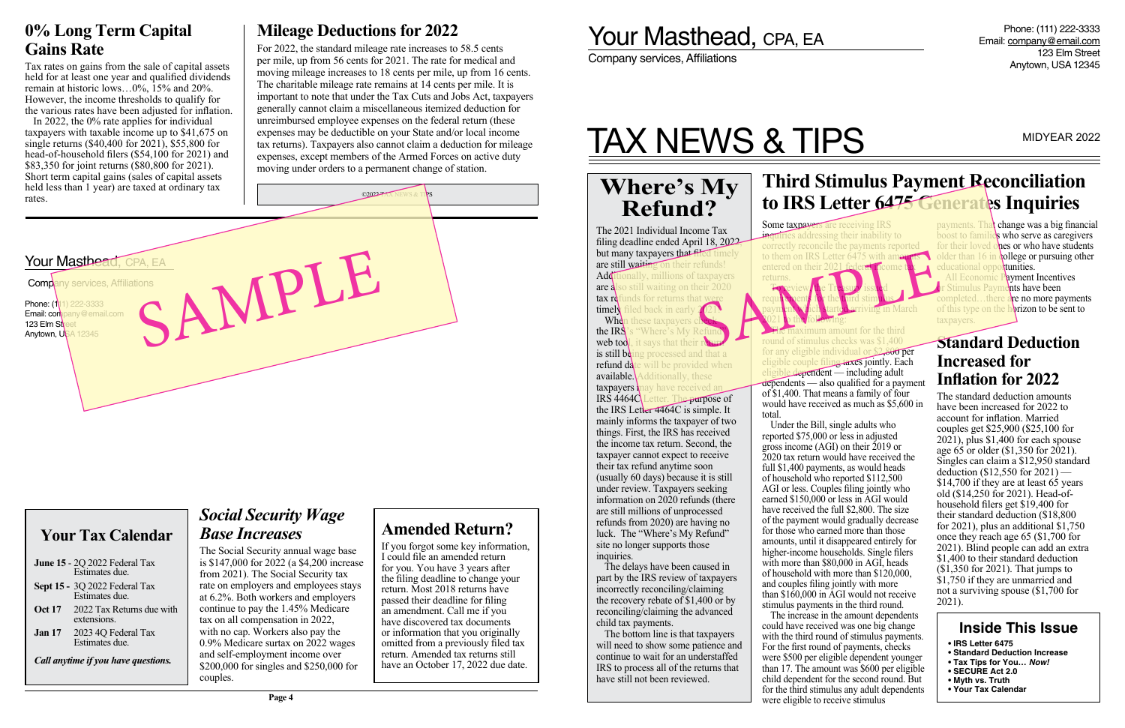Phone: (111) 222-3333 Email: company@email.com 123 Elm Street Anytown, USA 12345

Company services, Affiliations

# TAX NEWS & TIPS MIDYEAR 2022

filing deadline ended April 18, 2022, but many taxpayers that filed timely are still waiting on their refunds! Additionally, millions of taxpayers are also still waiting on their 2020  $\text{tax } \text{r}$  defunds for returns that w timely filed back in early<br>When these taxpayers **When these taxpayers the IRS**'s "Where's My

"Where's My Ref

will be provided when

letter. The purpose of

is still being processed and that a<br>refund date will be provided when

### **Where's My Refund?** The 2021 Individual Income Tax

the IRS Letter 4464C is simple. It mainly informs the taxpayer of two things. First, the IRS has received the income tax return. Second, the taxpayer cannot expect to receive their tax refund anytime soon (usually 60 days) because it is still under review. Taxpayers seeking information on 2020 refunds (there are still millions of unprocessed refunds from 2020) are having no luck. The "Where's My Refund" site no longer supports those

inquiries.

The delays have been caused in part by the IRS review of taxpayers incorrectly reconciling/claiming the recovery rebate of \$1,400 or by reconciling/claiming the advanced

child tax payments.

returns. The Contract of the Contract of the Contract of the Contract of the Contract of the Contract of the Contract of the Contract of the Contract of the Contract of the Contract of the Contract of the Contract of the Contract o

The bottom line is that taxpayers will need to show some patience and continue to wait for an understaffed IRS to process all of the returns that

payment which started arriving in March aximum amount for the third round of stimulus checks was \$1,400

have still not been reviewed.

available. Additionally, these taxpayers may have received a<br>IRS  $4464C$  Letter. The purpose

web tool, it says that their

### **Your Tax Calendar**

**June 15** - 2Q 2022 Federal Tax Estimates due. **Sept 15 -** 3Q 2022 Federal Tax Estimates due. **Oct 17** 2022 Tax Returns due with extensions. **Jan 17** 2023 4Q Federal Tax Estimates due.

*Call anytime if you have questions.*

### **Inside This Issue**

- **IRS Letter 6475**
- **Standard Deduction Increase**
- **Tax Tips for You…** *Now!*
- **SECURE Act 2.0**
- **Myth vs. Truth**
- **Your Tax Calendar**

### **Standard Deduction Increased for Inflation for 2022**

The standard deduction amounts have been increased for 2022 to account for inflation. Married couples get \$25,900 (\$25,100 for  $2021$ ), plus \$1,400 for each spouse age 65 or older (\$1,350 for 2021). Singles can claim a \$12,950 standard deduction (\$12,550 for 2021) — \$14,700 if they are at least 65 years old (\$14,250 for 2021). Head-ofhousehold filers get \$19,400 for their standard deduction (\$18,800 for 2021), plus an additional \$1,750 once they reach age 65 (\$1,700 for 2021). Blind people can add an extra \$1,400 to their standard deduction (\$1,350 for 2021). That jumps to \$1,750 if they are unmarried and not a surviving spouse (\$1,700 for 2021).

**Payment Incentives**  $\frac{d}{dx}$  have been leted…there are no more payments of this type on the horizon to be sent to taxpayers.

### **Third Stimulus Payment Reconciliation to IRS Letter 6475 Generates Inquiries**

Some taxpayers are receiving IRS **induities addressing their inability to** correctly reconcile the payments reported to them on IRS Letter  $\overline{6475}$  with an entered on their 202 payments. That change was a big financial boost to families who serve as caregivers for their loved ones or who have students  $\bigcup_{\text{1}}$  older than 16 in college or pursuing other educational opp



for any eligible individual or \$2,800 per eligible couple filing taxes jointly. Each  $e$ dependent — including adult dependents — also qualified for a payment of \$1,400. That means a family of four would have received as much as \$5,600 in total.

### Your Masthead, CPA, EA **Comp**any services, Affiliations Phone: (111) 222-3333 Email: company@email.com 123 Elm Stre **Anytown, USA 12345** held less than 1 year) are taxed at ordinary tax rates. ©2022 TAX NEWS & TIPS SAMPLE

Under the Bill, single adults who reported \$75,000 or less in adjusted gross income (AGI) on their 2019 or 2020 tax return would have received the full \$1,400 payments, as would heads of household who reported \$112,500 AGI or less. Couples filing jointly who earned \$150,000 or less in AGI would have received the full \$2,800. The size of the payment would gradually decrease for those who earned more than those amounts, until it disappeared entirely for higher-income households. Single filers with more than \$80,000 in AGI, heads of household with more than \$120,000, and couples filing jointly with more than \$160,000 in AGI would not receive stimulus payments in the third round. The increase in the amount dependents could have received was one big change with the third round of stimulus payments. For the first round of payments, checks were \$500 per eligible dependent younger than 17. The amount was \$600 per eligible child dependent for the second round. But for the third stimulus any adult dependents were eligible to receive stimulus

### **Amended Return?**

If you forgot some key information, I could file an amended return for you. You have 3 years after the filing deadline to change your return. Most 2018 returns have passed their deadline for filing an amendment. Call me if you have discovered tax documents or information that you originally omitted from a previously filed tax return. Amended tax returns still have an October 17, 2022 due date.

## Your Masthead, CPA, EA

### **0% Long Term Capital Gains Rate**

Tax rates on gains from the sale of capital assets held for at least one year and qualified dividends remain at historic lows…0%, 15% and 20%. However, the income thresholds to qualify for the various rates have been adjusted for inflation.

In 2022, the 0% rate applies for individual taxpayers with taxable income up to \$41,675 on single returns (\$40,400 for 2021), \$55,800 for head-of-household filers (\$54,100 for 2021) and \$83,350 for joint returns (\$80,800 for 2021). Short term capital gains (sales of capital assets

### *Social Security Wage Base Increases*

The Social Security annual wage base is \$147,000 for 2022 (a \$4,200 increase from 2021). The Social Security tax rate on employers and employees stays at 6.2%. Both workers and employers continue to pay the 1.45% Medicare tax on all compensation in 2022, with no cap. Workers also pay the 0.9% Medicare surtax on 2022 wages and self-employment income over \$200,000 for singles and \$250,000 for couples.

### **Mileage Deductions for 2022**

For 2022, the standard mileage rate increases to 58.5 cents per mile, up from 56 cents for 2021. The rate for medical and moving mileage increases to 18 cents per mile, up from 16 cents. The charitable mileage rate remains at 14 cents per mile. It is important to note that under the Tax Cuts and Jobs Act, taxpayers generally cannot claim a miscellaneous itemized deduction for unreimbursed employee expenses on the federal return (these expenses may be deductible on your State and/or local income tax returns). Taxpayers also cannot claim a deduction for mileage expenses, except members of the Armed Forces on active duty moving under orders to a permanent change of station.